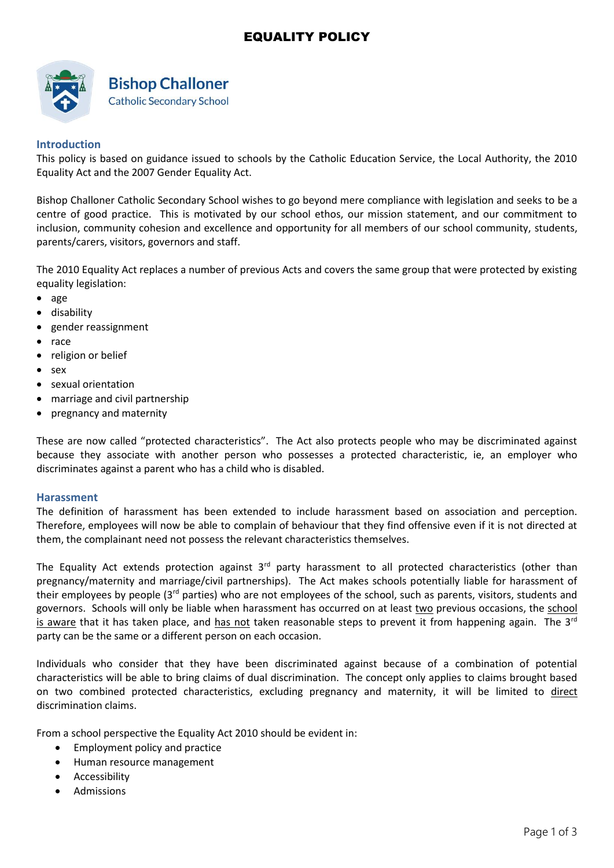## EQUALITY POLICY



# **Bishop Challoner**

**Catholic Secondary School** 

### **Introduction**

This policy is based on guidance issued to schools by the Catholic Education Service, the Local Authority, the 2010 Equality Act and the 2007 Gender Equality Act.

Bishop Challoner Catholic Secondary School wishes to go beyond mere compliance with legislation and seeks to be a centre of good practice. This is motivated by our school ethos, our mission statement, and our commitment to inclusion, community cohesion and excellence and opportunity for all members of our school community, students, parents/carers, visitors, governors and staff.

The 2010 Equality Act replaces a number of previous Acts and covers the same group that were protected by existing equality legislation:

- age
- disability
- gender reassignment
- race
- religion or belief
- sex
- sexual orientation
- marriage and civil partnership
- pregnancy and maternity

These are now called "protected characteristics". The Act also protects people who may be discriminated against because they associate with another person who possesses a protected characteristic, ie, an employer who discriminates against a parent who has a child who is disabled.

#### **Harassment**

The definition of harassment has been extended to include harassment based on association and perception. Therefore, employees will now be able to complain of behaviour that they find offensive even if it is not directed at them, the complainant need not possess the relevant characteristics themselves.

The Equality Act extends protection against  $3<sup>rd</sup>$  party harassment to all protected characteristics (other than pregnancy/maternity and marriage/civil partnerships). The Act makes schools potentially liable for harassment of their employees by people (3<sup>rd</sup> parties) who are not employees of the school, such as parents, visitors, students and governors. Schools will only be liable when harassment has occurred on at least two previous occasions, the school is aware that it has taken place, and has not taken reasonable steps to prevent it from happening again. The  $3^{rd}$ party can be the same or a different person on each occasion.

Individuals who consider that they have been discriminated against because of a combination of potential characteristics will be able to bring claims of dual discrimination. The concept only applies to claims brought based on two combined protected characteristics, excluding pregnancy and maternity, it will be limited to direct discrimination claims.

From a school perspective the Equality Act 2010 should be evident in:

- Employment policy and practice
- Human resource management
- Accessibility
- Admissions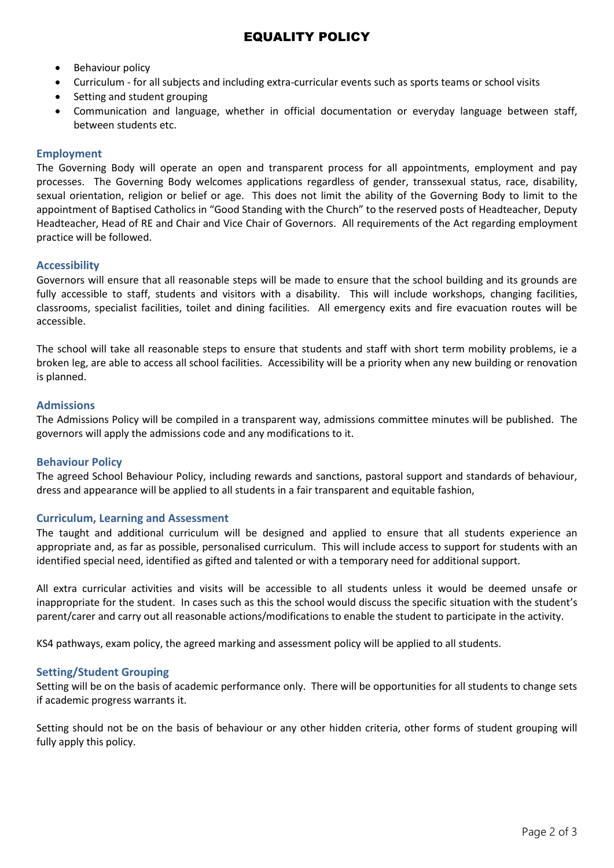- Behaviour policy
- Curriculum for all subjects and including extra-curricular events such as sports teams or school visits
- Setting and student grouping
- Communication and language, whether in official documentation or everyday language between staff, between students etc.

#### **Employment**

The Governing Body will operate an open and transparent process for all appointments, employment and pay processes. The Governing Body welcomes applications regardless of gender, transsexual status, race, disability, sexual orientation, religion or belief or age. This does not limit the ability of the Governing Body to limit to the appointment of Baptised Catholics in "Good Standing with the Church" to the reserved posts of Headteacher, Deputy Headteacher, Head of RE and Chair and Vice Chair of Governors. All requirements of the Act regarding employment practice will be followed.

#### **Accessibility**

Governors will ensure that all reasonable steps will be made to ensure that the school building and its grounds are fully accessible to staff, students and visitors with a disability. This will include workshops, changing facilities, classrooms, specialist facilities, toilet and dining facilities. All emergency exits and fire evacuation routes will be accessible.

The school will take all reasonable steps to ensure that students and staff with short term mobility problems, ie a broken leg, are able to access all school facilities. Accessibility will be a priority when any new building or renovation is planned.

#### **Admissions**

The Admissions Policy will be compiled in a transparent way, admissions committee minutes will be published. The governors will apply the admissions code and any modifications to it.

#### **Behaviour Policy**

The agreed School Behaviour Policy, including rewards and sanctions, pastoral support and standards of behaviour, dress and appearance will be applied to all students in a fair transparent and equitable fashion,

#### **Curriculum, Learning and Assessment**

The taught and additional curriculum will be designed and applied to ensure that all students experience an appropriate and, as far as possible, personalised curriculum. This will include access to support for students with an identified special need, identified as gifted and talented or with a temporary need for additional support.

All extra curricular activities and visits will be accessible to all students unless it would be deemed unsafe or inappropriate for the student. In cases such as this the school would discuss the specific situation with the student's parent/carer and carry out all reasonable actions/modifications to enable the student to participate in the activity.

KS4 pathways, exam policy, the agreed marking and assessment policy will be applied to all students.

#### **Setting/Student Grouping**

Setting will be on the basis of academic performance only. There will be opportunities for all students to change sets if academic progress warrants it.

Setting should not be on the basis of behaviour or any other hidden criteria, other forms of student grouping will fully apply this policy.